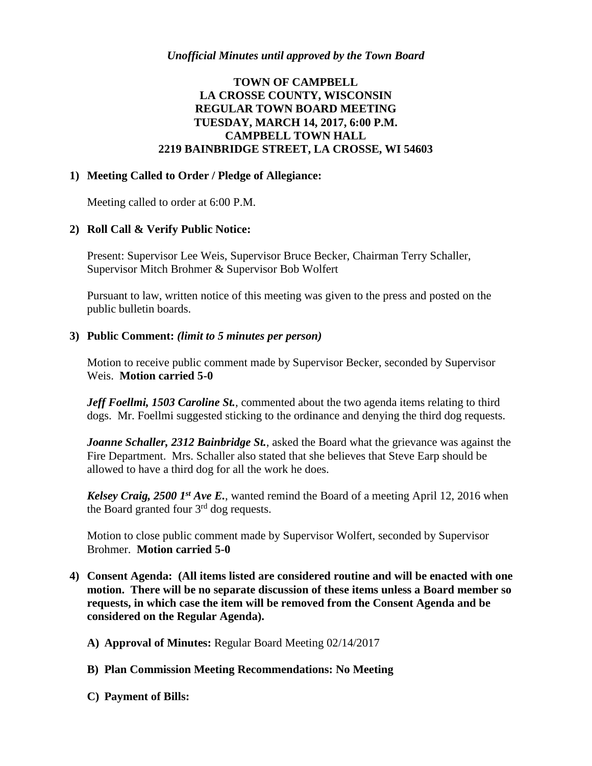# **TOWN OF CAMPBELL LA CROSSE COUNTY, WISCONSIN REGULAR TOWN BOARD MEETING TUESDAY, MARCH 14, 2017, 6:00 P.M. CAMPBELL TOWN HALL 2219 BAINBRIDGE STREET, LA CROSSE, WI 54603**

## **1) Meeting Called to Order / Pledge of Allegiance:**

Meeting called to order at 6:00 P.M.

## **2) Roll Call & Verify Public Notice:**

Present: Supervisor Lee Weis, Supervisor Bruce Becker, Chairman Terry Schaller, Supervisor Mitch Brohmer & Supervisor Bob Wolfert

Pursuant to law, written notice of this meeting was given to the press and posted on the public bulletin boards.

#### **3) Public Comment:** *(limit to 5 minutes per person)*

Motion to receive public comment made by Supervisor Becker, seconded by Supervisor Weis. **Motion carried 5-0**

*Jeff Foellmi, 1503 Caroline St., commented about the two agenda items relating to third* dogs. Mr. Foellmi suggested sticking to the ordinance and denying the third dog requests.

*Joanne Schaller, 2312 Bainbridge St.*, asked the Board what the grievance was against the Fire Department. Mrs. Schaller also stated that she believes that Steve Earp should be allowed to have a third dog for all the work he does.

*Kelsey Craig, 2500 1st Ave E.*, wanted remind the Board of a meeting April 12, 2016 when the Board granted four  $3<sup>rd</sup>$  dog requests.

Motion to close public comment made by Supervisor Wolfert, seconded by Supervisor Brohmer. **Motion carried 5-0**

- **4) Consent Agenda: (All items listed are considered routine and will be enacted with one motion. There will be no separate discussion of these items unless a Board member so requests, in which case the item will be removed from the Consent Agenda and be considered on the Regular Agenda).**
	- **A) Approval of Minutes:** Regular Board Meeting 02/14/2017
	- **B) Plan Commission Meeting Recommendations: No Meeting**
	- **C) Payment of Bills:**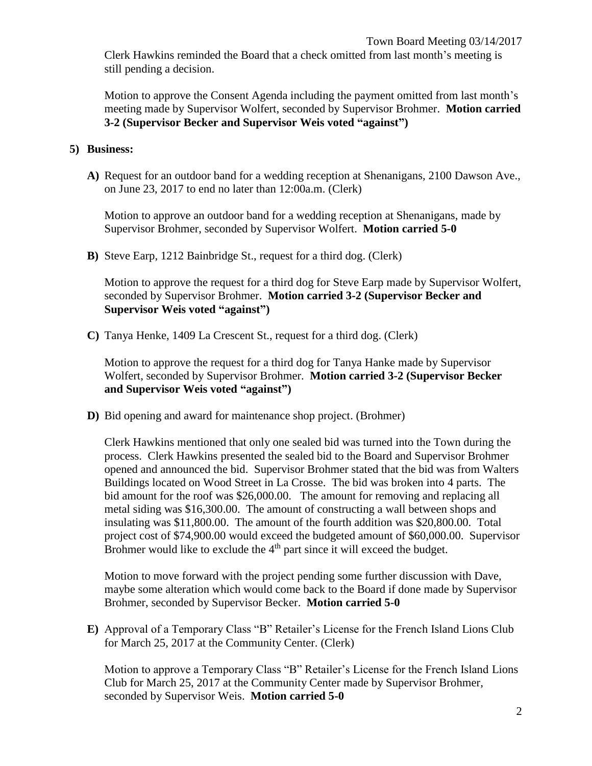Clerk Hawkins reminded the Board that a check omitted from last month's meeting is still pending a decision.

Motion to approve the Consent Agenda including the payment omitted from last month's meeting made by Supervisor Wolfert, seconded by Supervisor Brohmer. **Motion carried 3-2 (Supervisor Becker and Supervisor Weis voted "against")**

## **5) Business:**

**A)** Request for an outdoor band for a wedding reception at Shenanigans, 2100 Dawson Ave., on June 23, 2017 to end no later than 12:00a.m. (Clerk)

Motion to approve an outdoor band for a wedding reception at Shenanigans, made by Supervisor Brohmer, seconded by Supervisor Wolfert. **Motion carried 5-0**

**B)** Steve Earp, 1212 Bainbridge St., request for a third dog. (Clerk)

Motion to approve the request for a third dog for Steve Earp made by Supervisor Wolfert, seconded by Supervisor Brohmer. **Motion carried 3-2 (Supervisor Becker and Supervisor Weis voted "against")**

**C)** Tanya Henke, 1409 La Crescent St., request for a third dog. (Clerk)

Motion to approve the request for a third dog for Tanya Hanke made by Supervisor Wolfert, seconded by Supervisor Brohmer. **Motion carried 3-2 (Supervisor Becker and Supervisor Weis voted "against")**

**D)** Bid opening and award for maintenance shop project. (Brohmer)

Clerk Hawkins mentioned that only one sealed bid was turned into the Town during the process. Clerk Hawkins presented the sealed bid to the Board and Supervisor Brohmer opened and announced the bid. Supervisor Brohmer stated that the bid was from Walters Buildings located on Wood Street in La Crosse. The bid was broken into 4 parts. The bid amount for the roof was \$26,000.00. The amount for removing and replacing all metal siding was \$16,300.00. The amount of constructing a wall between shops and insulating was \$11,800.00. The amount of the fourth addition was \$20,800.00. Total project cost of \$74,900.00 would exceed the budgeted amount of \$60,000.00. Supervisor Brohmer would like to exclude the  $4<sup>th</sup>$  part since it will exceed the budget.

Motion to move forward with the project pending some further discussion with Dave, maybe some alteration which would come back to the Board if done made by Supervisor Brohmer, seconded by Supervisor Becker. **Motion carried 5-0**

**E)** Approval of a Temporary Class "B" Retailer's License for the French Island Lions Club for March 25, 2017 at the Community Center. (Clerk)

Motion to approve a Temporary Class "B" Retailer's License for the French Island Lions Club for March 25, 2017 at the Community Center made by Supervisor Brohmer, seconded by Supervisor Weis. **Motion carried 5-0**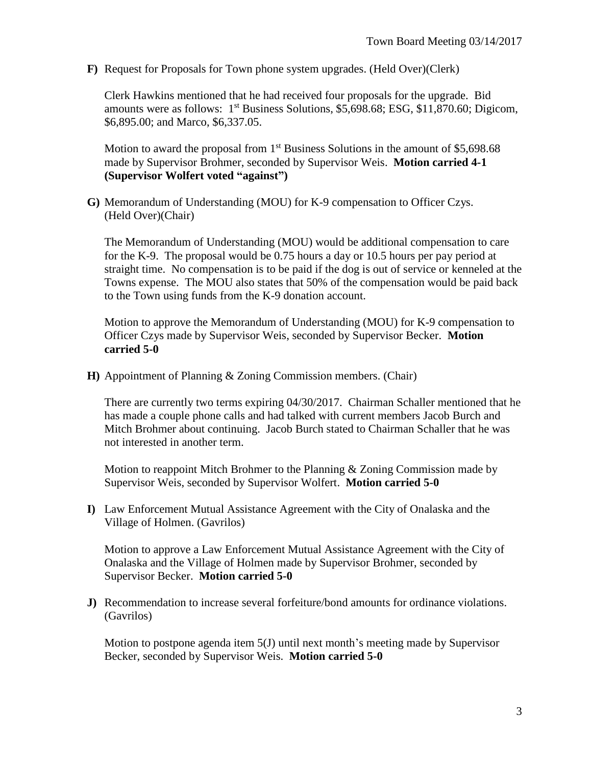**F)** Request for Proposals for Town phone system upgrades. (Held Over)(Clerk)

Clerk Hawkins mentioned that he had received four proposals for the upgrade. Bid amounts were as follows:  $1<sup>st</sup>$  Business Solutions, \$5,698.68; ESG, \$11,870.60; Digicom, \$6,895.00; and Marco, \$6,337.05.

Motion to award the proposal from  $1<sup>st</sup>$  Business Solutions in the amount of \$5,698.68 made by Supervisor Brohmer, seconded by Supervisor Weis. **Motion carried 4-1 (Supervisor Wolfert voted "against")**

**G)** Memorandum of Understanding (MOU) for K-9 compensation to Officer Czys. (Held Over)(Chair)

The Memorandum of Understanding (MOU) would be additional compensation to care for the K-9. The proposal would be 0.75 hours a day or 10.5 hours per pay period at straight time. No compensation is to be paid if the dog is out of service or kenneled at the Towns expense. The MOU also states that 50% of the compensation would be paid back to the Town using funds from the K-9 donation account.

Motion to approve the Memorandum of Understanding (MOU) for K-9 compensation to Officer Czys made by Supervisor Weis, seconded by Supervisor Becker. **Motion carried 5-0**

**H)** Appointment of Planning & Zoning Commission members. (Chair)

There are currently two terms expiring 04/30/2017. Chairman Schaller mentioned that he has made a couple phone calls and had talked with current members Jacob Burch and Mitch Brohmer about continuing. Jacob Burch stated to Chairman Schaller that he was not interested in another term.

Motion to reappoint Mitch Brohmer to the Planning & Zoning Commission made by Supervisor Weis, seconded by Supervisor Wolfert. **Motion carried 5-0**

**I)** Law Enforcement Mutual Assistance Agreement with the City of Onalaska and the Village of Holmen. (Gavrilos)

Motion to approve a Law Enforcement Mutual Assistance Agreement with the City of Onalaska and the Village of Holmen made by Supervisor Brohmer, seconded by Supervisor Becker. **Motion carried 5-0**

**J)** Recommendation to increase several forfeiture/bond amounts for ordinance violations. (Gavrilos)

Motion to postpone agenda item 5(J) until next month's meeting made by Supervisor Becker, seconded by Supervisor Weis. **Motion carried 5-0**